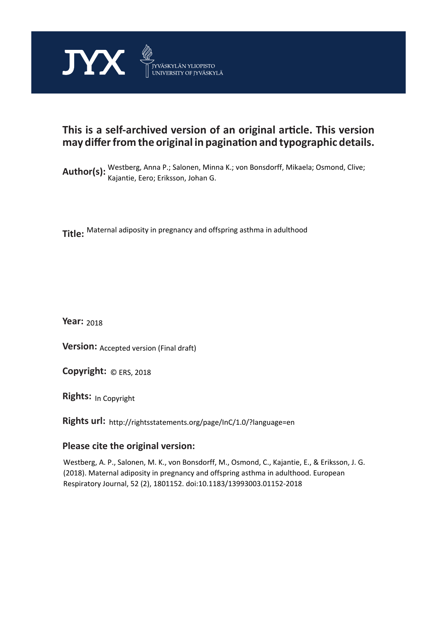

## **This is a self-archived version of an original article. This version may differ from the original in pagination and typographic details.**

Author(s): Westberg, Anna P.; Salonen, Minna K.; von Bonsdorff, Mikaela; Osmond, Clive; Kajantie, Eero; Eriksson, Johan G.

**Title:**  Maternal adiposity in pregnancy and offspring asthma in adulthood

**Year:**  2018

**Version:** Accepted version (Final draft)<br>**Copyright:** © ERS, 2018

**Copyright:**

**Rights:** In Copyright

**Rights url:**  http://rightsstatements.org/page/InC/1.0/?language=en

## **Please cite the original version:**

Westberg, A. P., Salonen, M. K., von Bonsdorff, M., Osmond, C., Kajantie, E., & Eriksson, J. G. (2018). Maternal adiposity in pregnancy and offspring asthma in adulthood. European Respiratory Journal, 52 (2), 1801152. doi:10.1183/13993003.01152-2018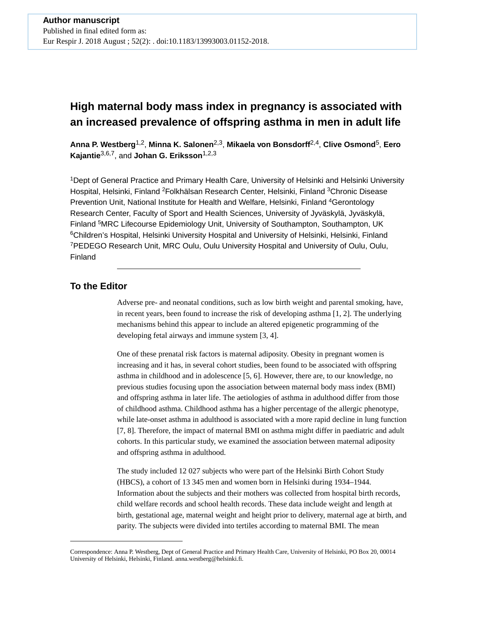# **High maternal body mass index in pregnancy is associated with an increased prevalence of offspring asthma in men in adult life**

**Anna P. Westberg**1,2, **Minna K. Salonen**2,3, **Mikaela von Bonsdorff**2,4, **Clive Osmond**5, **Eero Kajantie**3,6,7, and **Johan G. Eriksson**1,2,3

<sup>1</sup>Dept of General Practice and Primary Health Care, University of Helsinki and Helsinki University Hospital, Helsinki, Finland <sup>2</sup>Folkhälsan Research Center, Helsinki, Finland <sup>3</sup>Chronic Disease Prevention Unit, National Institute for Health and Welfare, Helsinki, Finland <sup>4</sup>Gerontology Research Center, Faculty of Sport and Health Sciences, University of Jyväskylä, Jyväskylä, Finland <sup>5</sup>MRC Lifecourse Epidemiology Unit, University of Southampton, Southampton, UK <sup>6</sup>Children's Hospital, Helsinki University Hospital and University of Helsinki, Helsinki, Finland <sup>7</sup>PEDEGO Research Unit, MRC Oulu, Oulu University Hospital and University of Oulu, Oulu, Finland

### **To the Editor**

Adverse pre- and neonatal conditions, such as low birth weight and parental smoking, have, in recent years, been found to increase the risk of developing asthma [1, 2]. The underlying mechanisms behind this appear to include an altered epigenetic programming of the developing fetal airways and immune system [3, 4].

One of these prenatal risk factors is maternal adiposity. Obesity in pregnant women is increasing and it has, in several cohort studies, been found to be associated with offspring asthma in childhood and in adolescence [5, 6]. However, there are, to our knowledge, no previous studies focusing upon the association between maternal body mass index (BMI) and offspring asthma in later life. The aetiologies of asthma in adulthood differ from those of childhood asthma. Childhood asthma has a higher percentage of the allergic phenotype, while late-onset asthma in adulthood is associated with a more rapid decline in lung function [7, 8]. Therefore, the impact of maternal BMI on asthma might differ in paediatric and adult cohorts. In this particular study, we examined the association between maternal adiposity and offspring asthma in adulthood.

The study included 12 027 subjects who were part of the Helsinki Birth Cohort Study (HBCS), a cohort of 13 345 men and women born in Helsinki during 1934–1944. Information about the subjects and their mothers was collected from hospital birth records, child welfare records and school health records. These data include weight and length at birth, gestational age, maternal weight and height prior to delivery, maternal age at birth, and parity. The subjects were divided into tertiles according to maternal BMI. The mean

Correspondence: Anna P. Westberg, Dept of General Practice and Primary Health Care, University of Helsinki, PO Box 20, 00014 University of Helsinki, Helsinki, Finland. anna.westberg@helsinki.fi.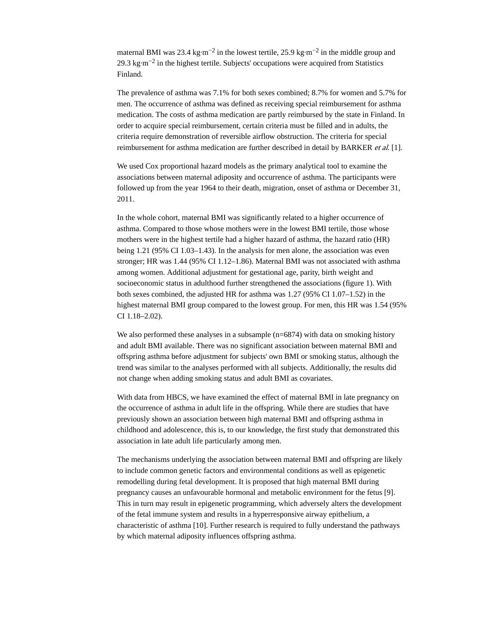maternal BMI was 23.4 kg⋅m<sup>-2</sup> in the lowest tertile, 25.9 kg⋅m<sup>-2</sup> in the middle group and 29.3 kg⋅m<sup>-2</sup> in the highest tertile. Subjects' occupations were acquired from Statistics Finland.

The prevalence of asthma was 7.1% for both sexes combined; 8.7% for women and 5.7% for men. The occurrence of asthma was defined as receiving special reimbursement for asthma medication. The costs of asthma medication are partly reimbursed by the state in Finland. In order to acquire special reimbursement, certain criteria must be filled and in adults, the criteria require demonstration of reversible airflow obstruction. The criteria for special reimbursement for asthma medication are further described in detail by BARKER *et al.* [1].

We used Cox proportional hazard models as the primary analytical tool to examine the associations between maternal adiposity and occurrence of asthma. The participants were followed up from the year 1964 to their death, migration, onset of asthma or December 31, 2011.

In the whole cohort, maternal BMI was significantly related to a higher occurrence of asthma. Compared to those whose mothers were in the lowest BMI tertile, those whose mothers were in the highest tertile had a higher hazard of asthma, the hazard ratio (HR) being 1.21 (95% CI 1.03–1.43). In the analysis for men alone, the association was even stronger; HR was 1.44 (95% CI 1.12–1.86). Maternal BMI was not associated with asthma among women. Additional adjustment for gestational age, parity, birth weight and socioeconomic status in adulthood further strengthened the associations (figure 1). With both sexes combined, the adjusted HR for asthma was 1.27 (95% CI 1.07–1.52) in the highest maternal BMI group compared to the lowest group. For men, this HR was 1.54 (95% CI 1.18–2.02).

We also performed these analyses in a subsample (n=6874) with data on smoking history and adult BMI available. There was no significant association between maternal BMI and offspring asthma before adjustment for subjects' own BMI or smoking status, although the trend was similar to the analyses performed with all subjects. Additionally, the results did not change when adding smoking status and adult BMI as covariates.

With data from HBCS, we have examined the effect of maternal BMI in late pregnancy on the occurrence of asthma in adult life in the offspring. While there are studies that have previously shown an association between high maternal BMI and offspring asthma in childhood and adolescence, this is, to our knowledge, the first study that demonstrated this association in late adult life particularly among men.

The mechanisms underlying the association between maternal BMI and offspring are likely to include common genetic factors and environmental conditions as well as epigenetic remodelling during fetal development. It is proposed that high maternal BMI during pregnancy causes an unfavourable hormonal and metabolic environment for the fetus [9]. This in turn may result in epigenetic programming, which adversely alters the development of the fetal immune system and results in a hyperresponsive airway epithelium, a characteristic of asthma [10]. Further research is required to fully understand the pathways by which maternal adiposity influences offspring asthma.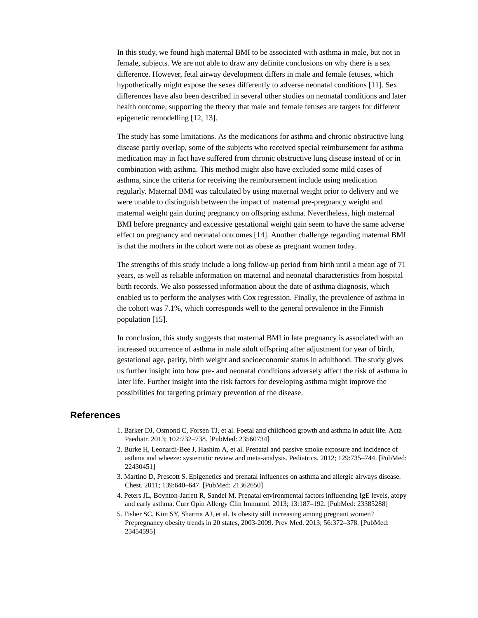In this study, we found high maternal BMI to be associated with asthma in male, but not in female, subjects. We are not able to draw any definite conclusions on why there is a sex difference. However, fetal airway development differs in male and female fetuses, which hypothetically might expose the sexes differently to adverse neonatal conditions [11]. Sex differences have also been described in several other studies on neonatal conditions and later health outcome, supporting the theory that male and female fetuses are targets for different epigenetic remodelling [12, 13].

The study has some limitations. As the medications for asthma and chronic obstructive lung disease partly overlap, some of the subjects who received special reimbursement for asthma medication may in fact have suffered from chronic obstructive lung disease instead of or in combination with asthma. This method might also have excluded some mild cases of asthma, since the criteria for receiving the reimbursement include using medication regularly. Maternal BMI was calculated by using maternal weight prior to delivery and we were unable to distinguish between the impact of maternal pre-pregnancy weight and maternal weight gain during pregnancy on offspring asthma. Nevertheless, high maternal BMI before pregnancy and excessive gestational weight gain seem to have the same adverse effect on pregnancy and neonatal outcomes [14]. Another challenge regarding maternal BMI is that the mothers in the cohort were not as obese as pregnant women today.

The strengths of this study include a long follow-up period from birth until a mean age of 71 years, as well as reliable information on maternal and neonatal characteristics from hospital birth records. We also possessed information about the date of asthma diagnosis, which enabled us to perform the analyses with Cox regression. Finally, the prevalence of asthma in the cohort was 7.1%, which corresponds well to the general prevalence in the Finnish population [15].

In conclusion, this study suggests that maternal BMI in late pregnancy is associated with an increased occurrence of asthma in male adult offspring after adjustment for year of birth, gestational age, parity, birth weight and socioeconomic status in adulthood. The study gives us further insight into how pre- and neonatal conditions adversely affect the risk of asthma in later life. Further insight into the risk factors for developing asthma might improve the possibilities for targeting primary prevention of the disease.

### **References**

- 1. Barker DJ, Osmond C, Forsen TJ, et al. Foetal and childhood growth and asthma in adult life. Acta Paediatr. 2013; 102:732–738. [PubMed: 23560734]
- 2. Burke H, Leonardi-Bee J, Hashim A, et al. Prenatal and passive smoke exposure and incidence of asthma and wheeze: systematic review and meta-analysis. Pediatrics. 2012; 129:735–744. [PubMed: 22430451]
- 3. Martino D, Prescott S. Epigenetics and prenatal influences on asthma and allergic airways disease. Chest. 2011; 139:640–647. [PubMed: 21362650]
- 4. Peters JL, Boynton-Jarrett R, Sandel M. Prenatal environmental factors influencing IgE levels, atopy and early asthma. Curr Opin Allergy Clin Immunol. 2013; 13:187–192. [PubMed: 23385288]
- 5. Fisher SC, Kim SY, Sharma AJ, et al. Is obesity still increasing among pregnant women? Prepregnancy obesity trends in 20 states, 2003-2009. Prev Med. 2013; 56:372–378. [PubMed: 23454595]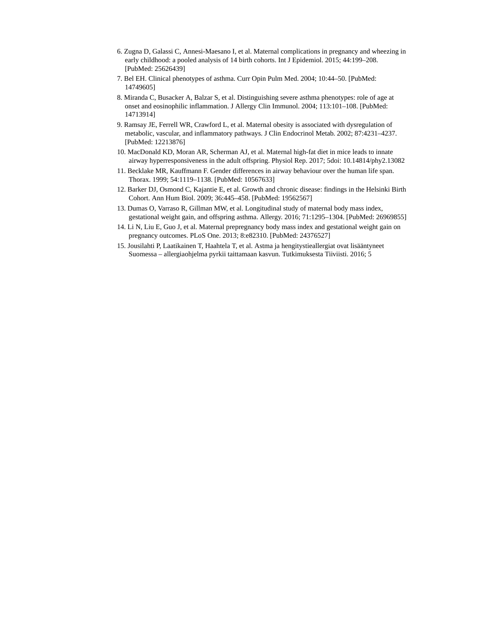- 6. Zugna D, Galassi C, Annesi-Maesano I, et al. Maternal complications in pregnancy and wheezing in early childhood: a pooled analysis of 14 birth cohorts. Int J Epidemiol. 2015; 44:199–208. [PubMed: 25626439]
- 7. Bel EH. Clinical phenotypes of asthma. Curr Opin Pulm Med. 2004; 10:44–50. [PubMed: 14749605]
- 8. Miranda C, Busacker A, Balzar S, et al. Distinguishing severe asthma phenotypes: role of age at onset and eosinophilic inflammation. J Allergy Clin Immunol. 2004; 113:101–108. [PubMed: 14713914]
- 9. Ramsay JE, Ferrell WR, Crawford L, et al. Maternal obesity is associated with dysregulation of metabolic, vascular, and inflammatory pathways. J Clin Endocrinol Metab. 2002; 87:4231–4237. [PubMed: 12213876]
- 10. MacDonald KD, Moran AR, Scherman AJ, et al. Maternal high-fat diet in mice leads to innate airway hyperresponsiveness in the adult offspring. Physiol Rep. 2017; 5doi: 10.14814/phy2.13082
- 11. Becklake MR, Kauffmann F. Gender differences in airway behaviour over the human life span. Thorax. 1999; 54:1119–1138. [PubMed: 10567633]
- 12. Barker DJ, Osmond C, Kajantie E, et al. Growth and chronic disease: findings in the Helsinki Birth Cohort. Ann Hum Biol. 2009; 36:445–458. [PubMed: 19562567]
- 13. Dumas O, Varraso R, Gillman MW, et al. Longitudinal study of maternal body mass index, gestational weight gain, and offspring asthma. Allergy. 2016; 71:1295–1304. [PubMed: 26969855]
- 14. Li N, Liu E, Guo J, et al. Maternal prepregnancy body mass index and gestational weight gain on pregnancy outcomes. PLoS One. 2013; 8:e82310. [PubMed: 24376527]
- 15. Jousilahti P, Laatikainen T, Haahtela T, et al. Astma ja hengitystieallergiat ovat lisääntyneet Suomessa – allergiaohjelma pyrkii taittamaan kasvun. Tutkimuksesta Tiiviisti. 2016; 5